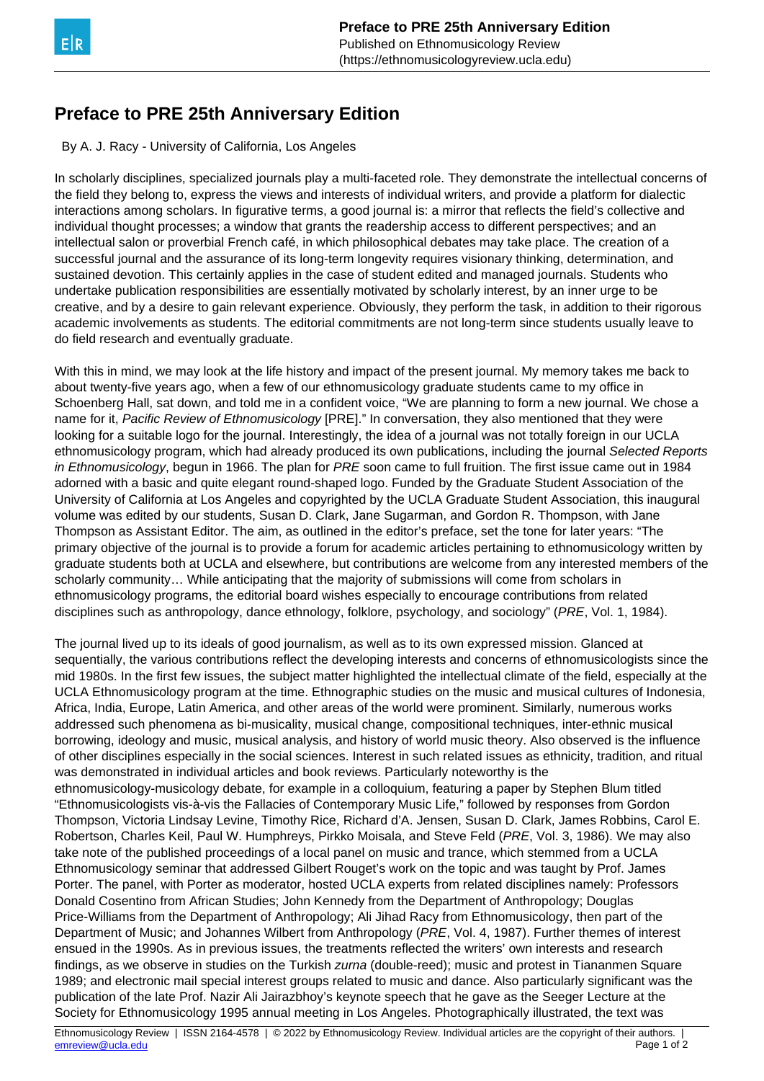## **Preface to PRE 25th Anniversary Edition**

By A. J. Racy - University of California, Los Angeles

In scholarly disciplines, specialized journals play a multi-faceted role. They demonstrate the intellectual concerns of the field they belong to, express the views and interests of individual writers, and provide a platform for dialectic interactions among scholars. In figurative terms, a good journal is: a mirror that reflects the field's collective and individual thought processes; a window that grants the readership access to different perspectives; and an intellectual salon or proverbial French café, in which philosophical debates may take place. The creation of a successful journal and the assurance of its long-term longevity requires visionary thinking, determination, and sustained devotion. This certainly applies in the case of student edited and managed journals. Students who undertake publication responsibilities are essentially motivated by scholarly interest, by an inner urge to be creative, and by a desire to gain relevant experience. Obviously, they perform the task, in addition to their rigorous academic involvements as students. The editorial commitments are not long-term since students usually leave to do field research and eventually graduate.

With this in mind, we may look at the life history and impact of the present journal. My memory takes me back to about twenty-five years ago, when a few of our ethnomusicology graduate students came to my office in Schoenberg Hall, sat down, and told me in a confident voice, "We are planning to form a new journal. We chose a name for it, Pacific Review of Ethnomusicology [PRE]." In conversation, they also mentioned that they were looking for a suitable logo for the journal. Interestingly, the idea of a journal was not totally foreign in our UCLA ethnomusicology program, which had already produced its own publications, including the journal Selected Reports in Ethnomusicology, begun in 1966. The plan for PRE soon came to full fruition. The first issue came out in 1984 adorned with a basic and quite elegant round-shaped logo. Funded by the Graduate Student Association of the University of California at Los Angeles and copyrighted by the UCLA Graduate Student Association, this inaugural volume was edited by our students, Susan D. Clark, Jane Sugarman, and Gordon R. Thompson, with Jane Thompson as Assistant Editor. The aim, as outlined in the editor's preface, set the tone for later years: "The primary objective of the journal is to provide a forum for academic articles pertaining to ethnomusicology written by graduate students both at UCLA and elsewhere, but contributions are welcome from any interested members of the scholarly community… While anticipating that the majority of submissions will come from scholars in ethnomusicology programs, the editorial board wishes especially to encourage contributions from related disciplines such as anthropology, dance ethnology, folklore, psychology, and sociology" (PRE, Vol. 1, 1984).

The journal lived up to its ideals of good journalism, as well as to its own expressed mission. Glanced at sequentially, the various contributions reflect the developing interests and concerns of ethnomusicologists since the mid 1980s. In the first few issues, the subject matter highlighted the intellectual climate of the field, especially at the UCLA Ethnomusicology program at the time. Ethnographic studies on the music and musical cultures of Indonesia, Africa, India, Europe, Latin America, and other areas of the world were prominent. Similarly, numerous works addressed such phenomena as bi-musicality, musical change, compositional techniques, inter-ethnic musical borrowing, ideology and music, musical analysis, and history of world music theory. Also observed is the influence of other disciplines especially in the social sciences. Interest in such related issues as ethnicity, tradition, and ritual was demonstrated in individual articles and book reviews. Particularly noteworthy is the ethnomusicology-musicology debate, for example in a colloquium, featuring a paper by Stephen Blum titled "Ethnomusicologists vis-à-vis the Fallacies of Contemporary Music Life," followed by responses from Gordon Thompson, Victoria Lindsay Levine, Timothy Rice, Richard d'A. Jensen, Susan D. Clark, James Robbins, Carol E. Robertson, Charles Keil, Paul W. Humphreys, Pirkko Moisala, and Steve Feld (PRE, Vol. 3, 1986). We may also take note of the published proceedings of a local panel on music and trance, which stemmed from a UCLA Ethnomusicology seminar that addressed Gilbert Rouget's work on the topic and was taught by Prof. James Porter. The panel, with Porter as moderator, hosted UCLA experts from related disciplines namely: Professors Donald Cosentino from African Studies; John Kennedy from the Department of Anthropology; Douglas Price-Williams from the Department of Anthropology; Ali Jihad Racy from Ethnomusicology, then part of the Department of Music; and Johannes Wilbert from Anthropology (PRE, Vol. 4, 1987). Further themes of interest ensued in the 1990s. As in previous issues, the treatments reflected the writers' own interests and research findings, as we observe in studies on the Turkish zurna (double-reed); music and protest in Tiananmen Square 1989; and electronic mail special interest groups related to music and dance. Also particularly significant was the publication of the late Prof. Nazir Ali Jairazbhoy's keynote speech that he gave as the Seeger Lecture at the Society for Ethnomusicology 1995 annual meeting in Los Angeles. Photographically illustrated, the text was